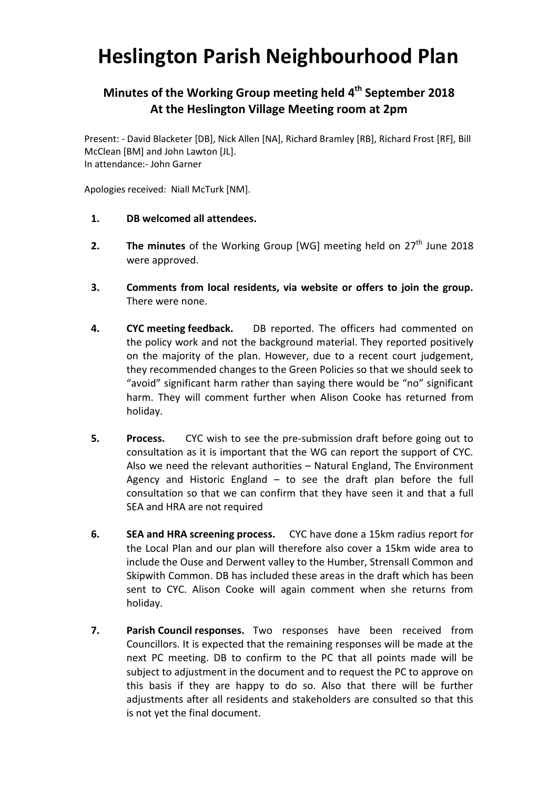## **Heslington Parish Neighbourhood Plan**

## **Minutes of the Working Group meeting held 4 th September 2018 At the Heslington Village Meeting room at 2pm**

Present: - David Blacketer [DB], Nick Allen [NA], Richard Bramley [RB], Richard Frost [RF], Bill McClean [BM] and John Lawton [JL]. In attendance:- John Garner

Apologies received: Niall McTurk [NM].

- **1. DB welcomed all attendees.**
- **2.** The minutes of the Working Group [WG] meeting held on 27<sup>th</sup> June 2018 were approved.
- **3. Comments from local residents, via website or offers to join the group.**  There were none.
- **4. CYC meeting feedback.** DB reported. The officers had commented on the policy work and not the background material. They reported positively on the majority of the plan. However, due to a recent court judgement, they recommended changes to the Green Policies so that we should seek to "avoid" significant harm rather than saying there would be "no" significant harm. They will comment further when Alison Cooke has returned from holiday.
- **5. Process.** CYC wish to see the pre-submission draft before going out to consultation as it is important that the WG can report the support of CYC. Also we need the relevant authorities – Natural England, The Environment Agency and Historic England – to see the draft plan before the full consultation so that we can confirm that they have seen it and that a full SEA and HRA are not required
- **6. SEA and HRA screening process.** CYC have done a 15km radius report for the Local Plan and our plan will therefore also cover a 15km wide area to include the Ouse and Derwent valley to the Humber, Strensall Common and Skipwith Common. DB has included these areas in the draft which has been sent to CYC. Alison Cooke will again comment when she returns from holiday.
- **7. Parish Council responses.** Two responses have been received from Councillors. It is expected that the remaining responses will be made at the next PC meeting. DB to confirm to the PC that all points made will be subject to adjustment in the document and to request the PC to approve on this basis if they are happy to do so. Also that there will be further adjustments after all residents and stakeholders are consulted so that this is not yet the final document.